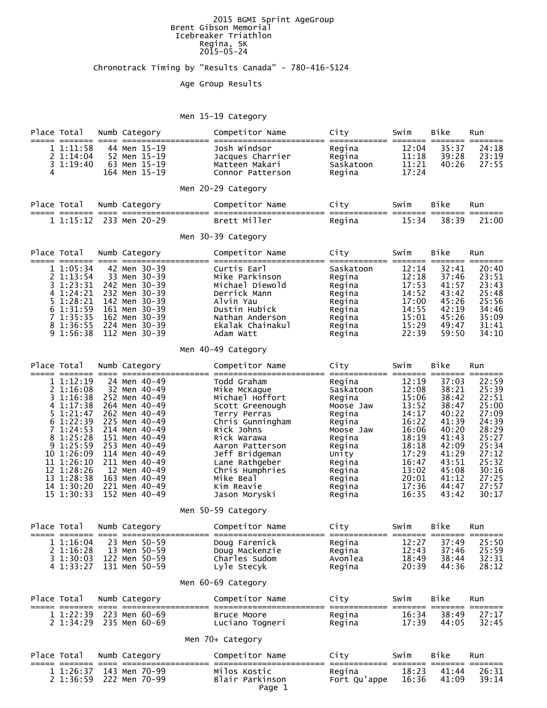#### 2015 BGMI Sprint AgeGroup Brent Gibson Memorial Icebreaker Triathlon Regina, SK 2015-05-24

### Chronotrack Timing by "Results Canada" - 780-416-5124

### Age Group Results

### Men 15-19 Category

| Place Total<br>===== ======= ====                                                                                                                                                                  | Numb Category<br>=========                                                                                                                                                                                                                               | Competitor Name<br>===== ==============<br>=========                                                                                                                                                                                                     | City                                                                                                                                                       | Swim                                                                                                                                | Bike<br>====== ======                                                                                                               | Run<br>=======                                                                                                                      |  |  |  |  |
|----------------------------------------------------------------------------------------------------------------------------------------------------------------------------------------------------|----------------------------------------------------------------------------------------------------------------------------------------------------------------------------------------------------------------------------------------------------------|----------------------------------------------------------------------------------------------------------------------------------------------------------------------------------------------------------------------------------------------------------|------------------------------------------------------------------------------------------------------------------------------------------------------------|-------------------------------------------------------------------------------------------------------------------------------------|-------------------------------------------------------------------------------------------------------------------------------------|-------------------------------------------------------------------------------------------------------------------------------------|--|--|--|--|
| 1 1:11:58<br>2 1:14:04<br>$3 \t1:19:40$<br>4                                                                                                                                                       | 44 Men 15-19<br>52 Men 15-19<br>63 Men 15-19<br>164 Men 15-19                                                                                                                                                                                            | Josh Windsor<br>Jacques Charrier<br>Matteen Makari<br>Connor Patterson                                                                                                                                                                                   | Regina<br>Regina<br>Saskatoon<br>Regina                                                                                                                    | 12:04<br>11:18<br>11:21<br>17:24                                                                                                    | 35:37<br>39:28<br>40:26                                                                                                             | 24:18<br>23:19<br>27:55                                                                                                             |  |  |  |  |
|                                                                                                                                                                                                    |                                                                                                                                                                                                                                                          | Men 20-29 Category                                                                                                                                                                                                                                       |                                                                                                                                                            |                                                                                                                                     |                                                                                                                                     |                                                                                                                                     |  |  |  |  |
| Place Total<br>===== ===<br>$==== = == =$                                                                                                                                                          | Numb Category<br>=====                                                                                                                                                                                                                                   | Competitor Name<br>================================                                                                                                                                                                                                      | City                                                                                                                                                       | Swim<br>=== ======= ===                                                                                                             | Bike                                                                                                                                | Run<br>=======                                                                                                                      |  |  |  |  |
| 1 1:15:12                                                                                                                                                                                          | 233 Men 20-29                                                                                                                                                                                                                                            | Brett Miller                                                                                                                                                                                                                                             | Regina                                                                                                                                                     | 15:34                                                                                                                               | 38:39                                                                                                                               | 21:00                                                                                                                               |  |  |  |  |
|                                                                                                                                                                                                    |                                                                                                                                                                                                                                                          | Men 30-39 Category                                                                                                                                                                                                                                       |                                                                                                                                                            |                                                                                                                                     |                                                                                                                                     |                                                                                                                                     |  |  |  |  |
| Place Total<br>===== ===<br>==== ====                                                                                                                                                              | Numb Category<br>==========                                                                                                                                                                                                                              | Competitor Name                                                                                                                                                                                                                                          | City<br>============= ======= =======                                                                                                                      | Swim                                                                                                                                | Bike                                                                                                                                | Run<br>=======                                                                                                                      |  |  |  |  |
| 11:05:34<br>2 1:13:54<br>1:23:31<br>3.<br>4 1:24:21<br>5 1:28:21<br>6 1:31:59<br>71:35:35<br>8 1:36:55<br>9 1:56:38                                                                                | 42 Men 30-39<br>33 Men 30-39<br>242 Men 30-39<br>232 Men 30-39<br>142 Men 30-39<br>161 Men 30-39<br>162 Men 30-39<br>224 Men 30-39<br>112 Men 30-39                                                                                                      | Curtis Earl<br>Mike Parkinson<br>Michael Diewold<br>Derrick Mann<br>Alvin Yau<br>Dustin Hubick<br>Nathan Anderson<br>Ekalak Chainakul<br>Adam Watt                                                                                                       | Saskatoon<br>Regina<br>Regina<br>Regina<br>Regina<br>Regina<br>Regina<br>Regina<br>Regina                                                                  | 12:14<br>12:18<br>17:53<br>14:52<br>17:00<br>14:55<br>15:01<br>15:29<br>22:39                                                       | 32:41<br>37:46<br>41:57<br>43:42<br>45:26<br>42:19<br>45:26<br>49:47<br>59:50                                                       | 20:40<br>23:51<br>23:43<br>25:48<br>25:56<br>34:46<br>35:09<br>31:41<br>34:10                                                       |  |  |  |  |
|                                                                                                                                                                                                    |                                                                                                                                                                                                                                                          | Men 40-49 Category                                                                                                                                                                                                                                       |                                                                                                                                                            |                                                                                                                                     |                                                                                                                                     |                                                                                                                                     |  |  |  |  |
| Place Total<br>=== ===<br>== ==                                                                                                                                                                    | Numb Category                                                                                                                                                                                                                                            | Competitor Name                                                                                                                                                                                                                                          | City                                                                                                                                                       | Swim<br>===== ====                                                                                                                  | Bike<br>===                                                                                                                         | Run                                                                                                                                 |  |  |  |  |
| 11:12:19<br>2 1:16:08<br>31:16:38<br>4 1:17:38<br>5 1:21:47<br>6 1:22:39<br>71:24:53<br>8 1:25:28<br>9 1:25:59<br>10 1:26:09<br>11 1:26:10<br>12 1:28:26<br>13 1:28:38<br>14 1:30:20<br>15 1:30:33 | 24 Men 40-49<br>32 Men 40-49<br>252 Men 40-49<br>264 Men 40-49<br>262 Men 40-49<br>225 Men 40-49<br>214 Men 40-49<br>151 Men 40-49<br>253 Men 40-49<br>114 Men 40-49<br>211 Men 40-49<br>12 Men 40-49<br>163 Men 40-49<br>221 Men 40-49<br>152 Men 40-49 | Todd Graham<br>Mike McKague<br>Michael Hoffort<br>Scott Greenough<br>Terry Perras<br>Chris Gunningham<br>Rick Johns<br>Rick Warawa<br>Aaron Patterson<br>Jeff Bridgeman<br>Lane Rathgeber<br>Chris Humphries<br>Mike Beal<br>Kim Reavie<br>Jason Moryski | Regina<br>Saskatoon<br>Regina<br>Moose Jaw<br>Regina<br>Regina<br>Moose Jaw<br>Regina<br>Regina<br>Unity<br>Regina<br>Regina<br>Regina<br>Regina<br>Regina | 12:19<br>12:08<br>15:06<br>13:52<br>14:17<br>16:22<br>16:06<br>18:19<br>18:18<br>17:29<br>16:47<br>13:02<br>20:01<br>17:36<br>16:35 | 37:03<br>38:21<br>38:42<br>38:47<br>40:22<br>41:39<br>40:20<br>41:43<br>42:09<br>41:29<br>43:51<br>45:08<br>41:12<br>44:47<br>43:42 | 22:59<br>25:39<br>22:51<br>25:00<br>27:09<br>24:39<br>28:29<br>25:27<br>25:34<br>27:12<br>25:32<br>30:16<br>27:25<br>27:57<br>30:17 |  |  |  |  |
|                                                                                                                                                                                                    |                                                                                                                                                                                                                                                          | Men 50-59 Category                                                                                                                                                                                                                                       |                                                                                                                                                            |                                                                                                                                     |                                                                                                                                     |                                                                                                                                     |  |  |  |  |
| Place Total                                                                                                                                                                                        | Numb Category                                                                                                                                                                                                                                            | Competitor Name                                                                                                                                                                                                                                          | City                                                                                                                                                       | Swim                                                                                                                                | Bike                                                                                                                                | Run                                                                                                                                 |  |  |  |  |
|                                                                                                                                                                                                    | 1 1:16:04 23 Men 50-59<br>2 1:16:28 13 Men 50-59<br>3 1:30:03 122 Men 50-59<br>4 1:33:27 131 Men 50-59                                                                                                                                                   | Doug Machen<br>Charles Sudom<br>כל הראשון                                                                                                                                                                                                                | Regina 12:27<br>Avonlea<br>Regina                                                                                                                          | 12:43<br>20:39                                                                                                                      | 37:49<br>37:46<br>44:36                                                                                                             | 25:50<br>25:59<br>18:49 38:44 32:31<br>28:12                                                                                        |  |  |  |  |
|                                                                                                                                                                                                    |                                                                                                                                                                                                                                                          | Men 60-69 Category                                                                                                                                                                                                                                       |                                                                                                                                                            |                                                                                                                                     |                                                                                                                                     |                                                                                                                                     |  |  |  |  |
| Place Total Numb Category                                                                                                                                                                          |                                                                                                                                                                                                                                                          | Competitor Name                                                                                                                                                                                                                                          | City                                                                                                                                                       | Swim                                                                                                                                | Bike                                                                                                                                | Run                                                                                                                                 |  |  |  |  |
|                                                                                                                                                                                                    |                                                                                                                                                                                                                                                          |                                                                                                                                                                                                                                                          |                                                                                                                                                            |                                                                                                                                     |                                                                                                                                     | 27:17                                                                                                                               |  |  |  |  |
| Men 70+ Category                                                                                                                                                                                   |                                                                                                                                                                                                                                                          |                                                                                                                                                                                                                                                          |                                                                                                                                                            |                                                                                                                                     |                                                                                                                                     |                                                                                                                                     |  |  |  |  |
| Place Total Numb Category                                                                                                                                                                          |                                                                                                                                                                                                                                                          | Competitor Name                                                                                                                                                                                                                                          | City                                                                                                                                                       | Swim                                                                                                                                | Bike                                                                                                                                | Run                                                                                                                                 |  |  |  |  |
|                                                                                                                                                                                                    | 1 1:26:37 143 Men 70-99<br>2 1:36:59 222 Men 70-99                                                                                                                                                                                                       | Milos Kostic<br>Blair Parkinson<br>Page 1                                                                                                                                                                                                                | Regina 18:23<br>Fort Qu'appe 16:36                                                                                                                         |                                                                                                                                     | 41:44<br>41:09                                                                                                                      | 26:31<br>39:14                                                                                                                      |  |  |  |  |